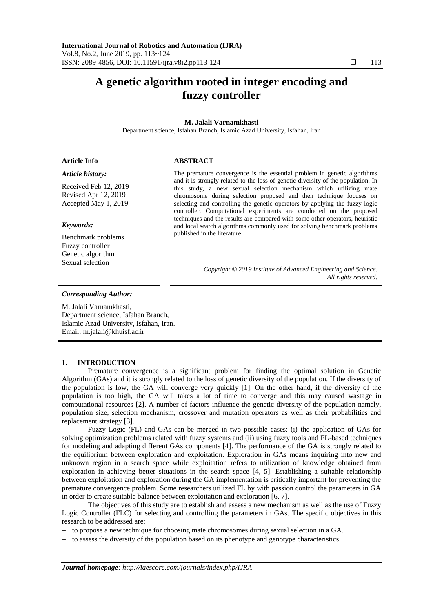# **A genetic algorithm rooted in integer encoding and fuzzy controller**

# **M. Jalali Varnamkhasti**

Department science, Isfahan Branch, Islamic Azad University, Isfahan, Iran

# **Article Info ABSTRACT**

# *Article history:*

Received Feb 12, 2019 Revised Apr 12, 2019 Accepted May 1, 2019

## *Keywords:*

Benchmark problems Fuzzy controller Genetic algorithm Sexual selection

# The premature convergence is the essential problem in genetic algorithms and it is strongly related to the loss of genetic diversity of the population. In this study, a new sexual selection mechanism which utilizing mate chromosome during selection proposed and then technique focuses on selecting and controlling the genetic operators by applying the fuzzy logic controller. Computational experiments are conducted on the proposed techniques and the results are compared with some other operators, heuristic and local search algorithms commonly used for solving benchmark problems published in the literature.

*Copyright © 2019 Institute of Advanced Engineering and Science. All rights reserved.*

#### *Corresponding Author:*

M. Jalali Varnamkhasti, Department science, Isfahan Branch, Islamic Azad University, Isfahan, Iran. Email; m.jalali@khuisf.ac.ir

# **1. INTRODUCTION**

Premature convergence is a significant problem for finding the optimal solution in Genetic Algorithm (GAs) and it is strongly related to the loss of genetic diversity of the population. If the diversity of the population is low, the GA will converge very quickly [1]. On the other hand, if the diversity of the population is too high, the GA will takes a lot of time to converge and this may caused wastage in computational resources [2]. A number of factors influence the genetic diversity of the population namely, population size, selection mechanism, crossover and mutation operators as well as their probabilities and replacement strategy [3].

Fuzzy Logic (FL) and GAs can be merged in two possible cases: (i) the application of GAs for solving optimization problems related with fuzzy systems and (ii) using fuzzy tools and FL-based techniques for modeling and adapting different GAs components [4]. The performance of the GA is strongly related to the equilibrium between exploration and exploitation. Exploration in GAs means inquiring into new and unknown region in a search space while exploitation refers to utilization of knowledge obtained from exploration in achieving better situations in the search space [4, 5]. Establishing a suitable relationship between exploitation and exploration during the GA implementation is critically important for preventing the premature convergence problem. Some researchers utilized FL by with passion control the parameters in GA in order to create suitable balance between exploitation and exploration [6, 7].

The objectives of this study are to establish and assess a new mechanism as well as the use of Fuzzy Logic Controller (FLC) for selecting and controlling the parameters in GAs. The specific objectives in this research to be addressed are:

to propose a new technique for choosing mate chromosomes during sexual selection in a GA.

to assess the diversity of the population based on its phenotype and genotype characteristics.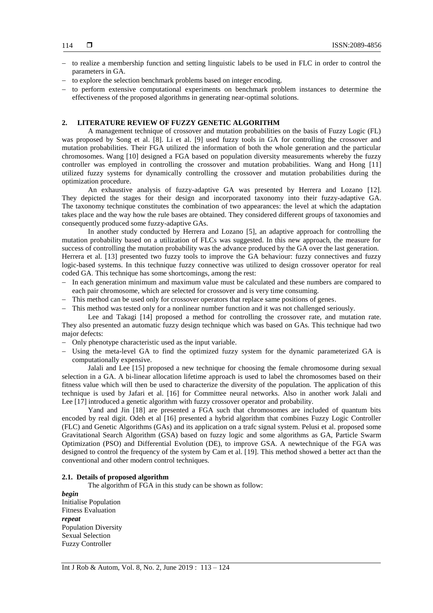- $-$  to realize a membership function and setting linguistic labels to be used in FLC in order to control the parameters in GA.
- to explore the selection benchmark problems based on integer encoding.
- to perform extensive computational experiments on benchmark problem instances to determine the effectiveness of the proposed algorithms in generating near-optimal solutions.

# **2. LITERATURE REVIEW OF FUZZY GENETIC ALGORITHM**

A management technique of crossover and mutation probabilities on the basis of Fuzzy Logic (FL) was proposed by Song et al. [8]. Li et al. [9] used fuzzy tools in GA for controlling the crossover and mutation probabilities. Their FGA utilized the information of both the whole generation and the particular chromosomes. Wang [10] designed a FGA based on population diversity measurements whereby the fuzzy controller was employed in controlling the crossover and mutation probabilities. Wang and Hong [11] utilized fuzzy systems for dynamically controlling the crossover and mutation probabilities during the optimization procedure.

An exhaustive analysis of fuzzy-adaptive GA was presented by Herrera and Lozano [12]. They depicted the stages for their design and incorporated taxonomy into their fuzzy-adaptive GA. The taxonomy technique constitutes the combination of two appearances: the level at which the adaptation takes place and the way how the rule bases are obtained. They considered different groups of taxonomies and consequently produced some fuzzy-adaptive GAs.

In another study conducted by Herrera and Lozano [5], an adaptive approach for controlling the mutation probability based on a utilization of FLCs was suggested. In this new approach, the measure for success of controlling the mutation probability was the advance produced by the GA over the last generation. Herrera et al. [13] presented two fuzzy tools to improve the GA behaviour: fuzzy connectives and fuzzy logic-based systems. In this technique fuzzy connective was utilized to design crossover operator for real coded GA. This technique has some shortcomings, among the rest:

- In each generation minimum and maximum value must be calculated and these numbers are compared to each pair chromosome, which are selected for crossover and is very time consuming.
- This method can be used only for crossover operators that replace same positions of genes.
- This method was tested only for a nonlinear number function and it was not challenged seriously.

Lee and Takagi [14] proposed a method for controlling the crossover rate, and mutation rate. They also presented an automatic fuzzy design technique which was based on GAs. This technique had two major defects:

- Only phenotype characteristic used as the input variable.
- Using the meta-level GA to find the optimized fuzzy system for the dynamic parameterized GA is computationally expensive.

Jalali and Lee [15] proposed a new technique for choosing the female chromosome during sexual selection in a GA. A bi-linear allocation lifetime approach is used to label the chromosomes based on their fitness value which will then be used to characterize the diversity of the population. The application of this technique is used by Jafari et al. [16] for Committee neural networks. Also in another work Jalali and Lee [17] introduced a genetic algorithm with fuzzy crossover operator and probability.

Yand and Jin [18] are presented a FGA such that chromosomes are included of quantum bits encoded by real digit. Odeh et al [16] presented a hybrid algorithm that combines Fuzzy Logic Controller (FLC) and Genetic Algorithms (GAs) and its application on a trafc signal system. Pelusi et al. proposed some Gravitational Search Algorithm (GSA) based on fuzzy logic and some algorithms as GA, Particle Swarm Optimization (PSO) and Differential Evolution (DE), to improve GSA. A newtechnique of the FGA was designed to control the frequency of the system by Cam et al. [19]. This method showed a better act than the conventional and other modern control techniques.

# **2.1. Details of proposed algorithm**

The algorithm of FGA in this study can be shown as follow:

*begin* Initialise Population Fitness Evaluation *repeat* Population Diversity Sexual Selection Fuzzy Controller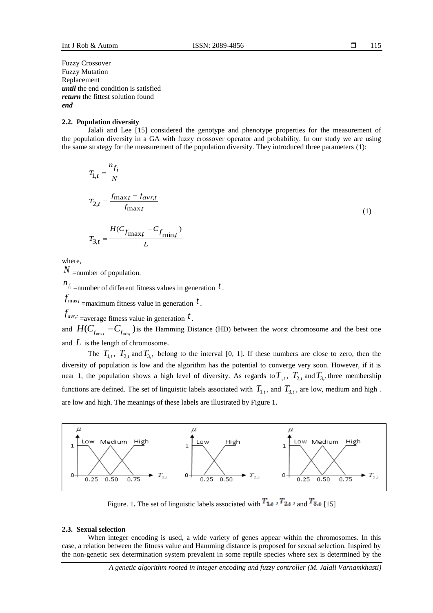Fuzzy Crossover Fuzzy Mutation Replacement *until* the end condition is satisfied *return* the fittest solution found *end*

## **2.2. Population diversity**

Jalali and Lee [15] considered the genotype and phenotype properties for the measurement of the population diversity in a GA with fuzzy crossover operator and probability. In our study we are using the same strategy for the measurement of the population diversity. They introduced three parameters (1):

$$
T_{1,t} = \frac{n_{f_i}}{N}
$$
  
\n
$$
T_{2,t} = \frac{f_{\text{max}}t - f_{\text{avr},t}}{f_{\text{max}}t}
$$
  
\n
$$
T_{3,t} = \frac{H(C_{f_{\text{max}}t} - C_{f_{\text{min}}})}{L}
$$
\n(1)

where,

*N* =number of population.

 $n_{f_i}$  =number of different fitness values in generation  $t$ .

 $f_{\text{max}t}$  =maximum fitness value in generation  $t$ .

 $f_{\textit{avr},t}$  =average fitness value in generation  $t$ .

and  $HC_{f_{\text{max}}}-C_{f_{\text{min}}}$ ) is the Hamming Distance (HD) between the worst chromosome and the best one and  $L$  is the length of chromosome.

The  $T_{1,t}$ ,  $T_{2,t}$  and  $T_{3,t}$  belong to the interval [0, 1]. If these numbers are close to zero, then the diversity of population is low and the algorithm has the potential to converge very soon. However, if it is near 1, the population shows a high level of diversity. As regards to  $T_{1,t}$ ,  $T_{2,t}$  and  $T_{3,t}$  three membership functions are defined. The set of linguistic labels associated with  $T_{1,t}$ , and  $T_{3,t}$ , are low, medium and high. are low and high. The meanings of these labels are illustrated by Figure 1.



Figure. 1. The set of linguistic labels associated with  $T_{1,t}$ ,  $T_{2,t}$ , and  $T_{3,t}$  [15]

# **2.3. Sexual selection**

When integer encoding is used, a wide variety of genes appear within the chromosomes. In this case, a relation between the fitness value and Hamming distance is proposed for sexual selection. Inspired by the non-genetic sex determination system prevalent in some reptile species where sex is determined by the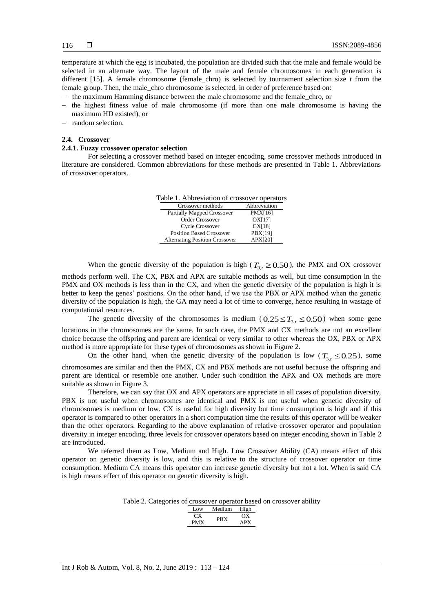temperature at which the egg is incubated, the population are divided such that the male and female would be selected in an alternate way. The layout of the male and female chromosomes in each generation is different [15]. A female chromosome (female\_chro) is selected by tournament selection size *t* from the female group. Then, the male\_chro chromosome is selected, in order of preference based on:

- $-$  the maximum Hamming distance between the male chromosome and the female chro, or
- $-$  the highest fitness value of male chromosome (if more than one male chromosome is having the maximum HD existed), or
- random selection.

# **2.4. Crossover**

# **2.4.1. Fuzzy crossover operator selection**

For selecting a crossover method based on integer encoding, some crossover methods introduced in literature are considered. Common abbreviations for these methods are presented in Table 1. Abbreviations of crossover operators.

| Table 1. Abbreviation of crossover operators |  |  |  |
|----------------------------------------------|--|--|--|
|----------------------------------------------|--|--|--|

| Crossover methods                     | Abbreviation   |
|---------------------------------------|----------------|
| <b>Partially Mapped Crossover</b>     | <b>PMX[16]</b> |
| Order Crossover                       | OX[17]         |
| Cycle Crossover                       | CX[18]         |
| <b>Position Based Crossover</b>       | PBX[19]        |
| <b>Alternating Position Crossover</b> | APX[20]        |

When the genetic diversity of the population is high ( $T_{3,t} \ge 0.50$ ), the PMX and OX crossover

methods perform well. The CX, PBX and APX are suitable methods as well, but time consumption in the PMX and OX methods is less than in the CX, and when the genetic diversity of the population is high it is better to keep the genes' positions. On the other hand, if we use the PBX or APX method when the genetic diversity of the population is high, the GA may need a lot of time to converge, hence resulting in wastage of computational resources.

The genetic diversity of the chromosomes is medium  $(0.25 \le T_{3,t} \le 0.50)$  when some gene locations in the chromosomes are the same. In such case, the PMX and CX methods are not an excellent choice because the offspring and parent are identical or very similar to other whereas the OX, PBX or APX method is more appropriate for these types of chromosomes as shown in Figure 2.

On the other hand, when the genetic diversity of the population is low ( $T_{3,t} \le 0.25$ ), some chromosomes are similar and then the PMX, CX and PBX methods are not useful because the offspring and parent are identical or resemble one another. Under such condition the APX and OX methods are more suitable as shown in Figure 3.

Therefore, we can say that OX and APX operators are appreciate in all cases of population diversity, PBX is not useful when chromosomes are identical and PMX is not useful when genetic diversity of chromosomes is medium or low. CX is useful for high diversity but time consumption is high and if this operator is compared to other operators in a short computation time the results of this operator will be weaker than the other operators. Regarding to the above explanation of relative crossover operator and population diversity in integer encoding, three levels for crossover operators based on integer encoding shown in Table 2 are introduced.

We referred them as Low, Medium and High. Low Crossover Ability (CA) means effect of this operator on genetic diversity is low, and this is relative to the structure of crossover operator or time consumption. Medium CA means this operator can increase genetic diversity but not a lot. When is said CA is high means effect of this operator on genetic diversity is high.

Table 2. Categories of crossover operator based on crossover ability

| Low.                      | Medium | High |
|---------------------------|--------|------|
| $\mathbf{f}^{\mathbf{v}}$ | PRX    | OΧ   |
| <b>PMX</b>                |        | APX  |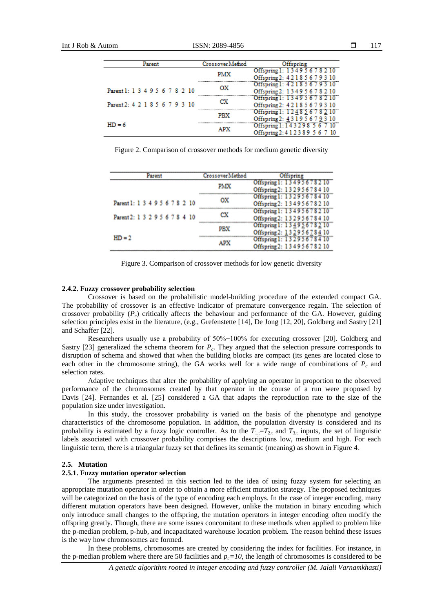| Parent                         | Crossover Method | Offspring                                                       |
|--------------------------------|------------------|-----------------------------------------------------------------|
|                                | <b>PMX</b>       | Offspring 1: 13495678210<br>Offspring 2: 4 2 1 8 5 6 7 9 3 10   |
| Parent 1: 1 3 4 9 5 6 7 8 2 10 | OХ               | Offspring 1: 42185679310<br>Offspring 2: 13495678210            |
| Parent 2: 4 2 1 8 5 6 7 9 3 10 | cх               | Offspring 1: 13495678210<br>Offspring 2: 4 2 1 8 5 6 7 9 3 10   |
|                                | PBX              | Offspring 1: 12485678210<br>Offspring 2: 43195679310            |
| $HD = 6$                       | APX              | Offspring 1: 143298 567 10<br>Offspring 2: 4 1 2 3 8 9 5 6 7 10 |

Figure 2. Comparison of crossover methods for medium genetic diversity

| Parent                         | CrossoverMethod | Offspring                                                                        |  |  |
|--------------------------------|-----------------|----------------------------------------------------------------------------------|--|--|
|                                | PMX             | Offspring 1: 13495678210<br>Offspring 2: 13295678410                             |  |  |
| Parent1: 1 3 4 9 5 6 7 8 2 10  | ox              | Offspring 1: 13295678410<br>Offspring 2: 13495678210                             |  |  |
| Parent 2: 1 3 2 9 5 6 7 8 4 10 | СX              | Offspring 1: 13495678210<br>Offspring 2: 13295678410                             |  |  |
|                                | PBX             | Offspring 1: 13495678210<br>Offspring 2: 13295678410<br>Offspring 1: 13295678410 |  |  |
| $HD = 2$                       | APX             | Offspring 2: 13495678210                                                         |  |  |

Figure 3. Comparison of crossover methods for low genetic diversity

#### **2.4.2. Fuzzy crossover probability selection**

Crossover is based on the probabilistic model-building procedure of the extended compact GA. The probability of crossover is an effective indicator of premature convergence regain. The selection of crossover probability  $(P_c)$  critically affects the behaviour and performance of the GA. However, guiding selection principles exist in the literature, (e.g., Grefenstette [14], De Jong [12, 20], Goldberg and Sastry [21] and Schaffer [22].

Researchers usually use a probability of 50%−100% for executing crossover [20]. Goldberg and Sastry  $[23]$  generalized the schema theorem for  $P_c$ . They argued that the selection pressure corresponds to disruption of schema and showed that when the building blocks are compact (its genes are located close to each other in the chromosome string), the GA works well for a wide range of combinations of  $P_c$  and selection rates.

Adaptive techniques that alter the probability of applying an operator in proportion to the observed performance of the chromosomes created by that operator in the course of a run were proposed by Davis [24]. Fernandes et al. [25] considered a GA that adapts the reproduction rate to the size of the population size under investigation.

In this study, the crossover probability is varied on the basis of the phenotype and genotype characteristics of the chromosome population. In addition, the population diversity is considered and its probability is estimated by a fuzzy logic controller. As to the  $T_{1,t}=T_{2,t}$  and  $T_{3,t}$  inputs, the set of linguistic labels associated with crossover probability comprises the descriptions low, medium and high. For each linguistic term, there is a triangular fuzzy set that defines its semantic (meaning) as shown in Figure 4.

# **2.5. Mutation**

# **2.5.1. Fuzzy mutation operator selection**

The arguments presented in this section led to the idea of using fuzzy system for selecting an appropriate mutation operator in order to obtain a more efficient mutation strategy. The proposed techniques will be categorized on the basis of the type of encoding each employs. In the case of integer encoding, many different mutation operators have been designed. However, unlike the mutation in binary encoding which only introduce small changes to the offspring, the mutation operators in integer encoding often modify the offspring greatly. Though, there are some issues concomitant to these methods when applied to problem like the p-median problem, p-hub, and incapacitated warehouse location problem. The reason behind these issues is the way how chromosomes are formed.

In these problems, chromosomes are created by considering the index for facilities. For instance, in the p-median problem where there are 50 facilities and  $p_c = 10$ , the length of chromosomes is considered to be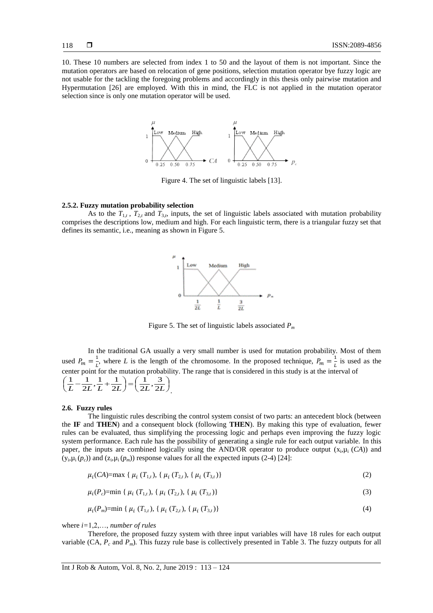10. These 10 numbers are selected from index 1 to 50 and the layout of them is not important. Since the mutation operators are based on relocation of gene positions, selection mutation operator bye fuzzy logic are not usable for the tackling the foregoing problems and accordingly in this thesis only pairwise mutation and Hypermutation [26] are employed. With this in mind, the FLC is not applied in the mutation operator selection since is only one mutation operator will be used.



Figure 4. The set of linguistic labels [13].

# **2.5.2. Fuzzy mutation probability selection**

As to the  $T_{1,t}$ ,  $T_{2,t}$  and  $T_{3,t}$ , inputs, the set of linguistic labels associated with mutation probability comprises the descriptions low, medium and high. For each linguistic term, there is a triangular fuzzy set that defines its semantic, i.e., meaning as shown in Figure 5.



Figure 5. The set of linguistic labels associated *P<sup>m</sup>*

In the traditional GA usually a very small number is used for mutation probability. Most of them used  $P_m = \frac{1}{b}$  $\frac{1}{L}$ , where *L* is the length of the chromosome. In the proposed technique,  $P_m = \frac{1}{L}$  $\frac{1}{L}$  is used as the center point for the mutation probability. The range that is considered in this study is at the interval of  $\bigg)$  $\left(\frac{1}{2L},\frac{3}{2L}\right)$  $=$  $($  $\left(\frac{1}{L} - \frac{1}{2L}, \frac{1}{L} + \frac{1}{2L}\right)$  $\left(\frac{1}{L} - \frac{1}{2L}, \frac{1}{L} + \frac{1}{2L}\right) = \left(\frac{1}{2L}, \frac{3}{2L}\right)$  $\frac{1}{2L}, \frac{3}{2L}$ 1 2  $\frac{1}{2L}, \frac{1}{L} + \frac{1}{2L}$  $1 \quad 1$ .

#### **2.6. Fuzzy rules**

The linguistic rules describing the control system consist of two parts: an antecedent block (between the **IF** and **THEN**) and a consequent block (following **THEN**). By making this type of evaluation, fewer rules can be evaluated, thus simplifying the processing logic and perhaps even improving the fuzzy logic system performance. Each rule has the possibility of generating a single rule for each output variable. In this paper, the inputs are combined logically using the AND/OR operator to produce output  $(x_i, \mu_i(CA))$  and  $(y_i, \mu_i(p_c))$  and  $(z_i, \mu_i(p_m))$  response values for all the expected inputs (2-4) [24]:

$$
\mu_i(CA) = \max \{ \mu_i(T_{1,t}), \{ \mu_i(T_{2,t}), \{ \mu_i(T_{3,t}) \} \} \tag{2}
$$

$$
\mu_i(P_c) = \min \{ \mu_i(T_{1,t}), \{ \mu_i(T_{2,t}), \{ \mu_i(T_{3,t}) \} \} \tag{3}
$$

$$
\mu_i(P_m) = \min \{ \mu_i(T_{1,t}), \{ \mu_i(T_{2,t}), \{ \mu_i(T_{3,t}) \} \} \tag{4}
$$

where *i=*1,2,…, *number of rules*

Therefore, the proposed fuzzy system with three input variables will have 18 rules for each output variable  $(CA, P_c$  and  $P_m$ ). This fuzzy rule base is collectively presented in Table 3. The fuzzy outputs for all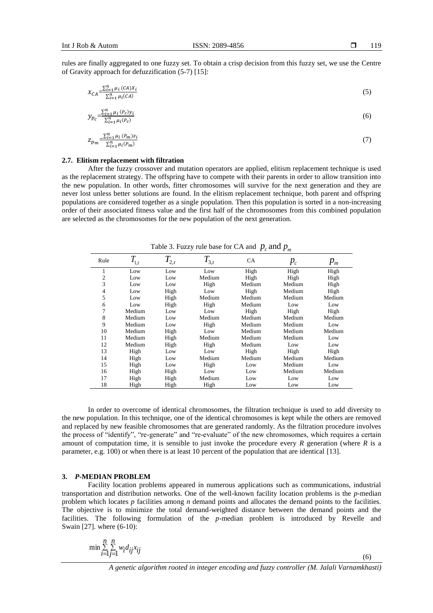rules are finally aggregated to one fuzzy set. To obtain a crisp decision from this fuzzy set, we use the Centre of Gravity approach for defuzzification (5-7) [15]:

$$
x_{CA} = \frac{\sum_{i=1}^{n} \mu_i (CA) x_i}{\sum_{i=1}^{n} \mu_i (CA)} \tag{5}
$$

$$
y_{p_c} = \frac{\sum_{i=1}^{n} \mu_i (P_c) y_i}{\sum_{i=1}^{n} \mu_i (P_c)} \tag{6}
$$

$$
z_{p_m} = \frac{\sum_{i=1}^{n} \mu_i \left( P_m \right) z_i}{\sum_{i=1}^{n} \mu_i \left( P_m \right)} \tag{7}
$$

#### **2.7. Elitism replacement with filtration**

After the fuzzy crossover and mutation operators are applied, elitism replacement technique is used as the replacement strategy. The offspring have to compete with their parents in order to allow transition into the new population. In other words, fitter chromosomes will survive for the next generation and they are never lost unless better solutions are found. In the elitism replacement technique, both parent and offspring populations are considered together as a single population. Then this population is sorted in a non-increasing order of their associated fitness value and the first half of the chromosomes from this combined population are selected as the chromosomes for the new population of the next generation.

| Rule | $T_{\mathrm{1,}t}$ | $T_{2,t}$ | $T_{3,t}$ | CA     | $p_c$  | $p_{m}$ |
|------|--------------------|-----------|-----------|--------|--------|---------|
| 1    | Low                | Low       | Low       | High   | High   | High    |
| 2    | Low                | Low       | Medium    | High   | High   | High    |
| 3    | Low                | Low       | High      | Medium | Medium | High    |
| 4    | Low                | High      | Low       | High   | Medium | High    |
| 5    | Low                | High      | Medium    | Medium | Medium | Medium  |
| 6    | Low                | High      | High      | Medium | Low    | Low     |
| 7    | Medium             | Low       | Low       | High   | High   | High    |
| 8    | Medium             | Low       | Medium    | Medium | Medium | Medium  |
| 9    | Medium             | Low       | High      | Medium | Medium | Low     |
| 10   | Medium             | High      | Low       | Medium | Medium | Medium  |
| 11   | Medium             | High      | Medium    | Medium | Medium | Low     |
| 12   | Medium             | High      | High      | Medium | Low    | Low     |
| 13   | High               | Low       | Low       | High   | High   | High    |
| 14   | High               | Low       | Medium    | Medium | Medium | Medium  |
| 15   | High               | Low       | High      | Low    | Medium | Low     |
| 16   | High               | High      | Low       | Low    | Medium | Medium  |
| 17   | High               | High      | Medium    | Low    | Low    | Low     |
| 18   | High               | High      | High      | Low    | Low    | Low     |

Table 3. Fuzzy rule base for CA and  $p_c$  and  $p_m$ 

In order to overcome of identical chromosomes, the filtration technique is used to add diversity to the new population. In this technique, one of the identical chromosomes is kept while the others are removed and replaced by new feasible chromosomes that are generated randomly. As the filtration procedure involves the process of "identify", "re-generate" and "re-evaluate" of the new chromosomes, which requires a certain amount of computation time, it is sensible to just invoke the procedure every *R* generation (where *R* is a parameter, e.g. 100) or when there is at least 10 percent of the population that are identical [13].

## **3.** *P***-MEDIAN PROBLEM**

Facility location problems appeared in numerous applications such as communications, industrial transportation and distribution networks. One of the well-known facility location problems is the *p*-median problem which locates *p* facilities among *n* demand points and allocates the demand points to the facilities. The objective is to minimize the total demand-weighted distance between the demand points and the facilities. The following formulation of the *p*-median problem is introduced by Revelle and Swain [27]. where (6-10):

$$
\min \sum_{i=1}^{n} \sum_{j=1}^{n} w_i d_{ij} x_{ij}
$$

*A genetic algorithm rooted in integer encoding and fuzzy controller (M. Jalali Varnamkhasti)*

(6)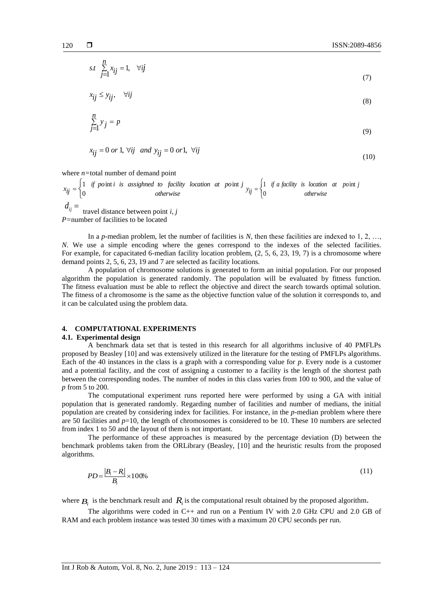$$
s.t. \sum_{j=1}^{n} x_{ij} = 1, \quad \forall ij \tag{7}
$$

$$
x_{ij} \le y_{ij}, \quad \forall ij \tag{8}
$$

$$
\sum_{j=1}^{n} y_j = p \tag{9}
$$

$$
x_{ij} = 0 \text{ or } 1, \forall ij \text{ and } y_{ij} = 0 \text{ or } 1, \forall ij
$$
\n
$$
(10)
$$

where *n=*total number of demand point

 $=\begin{cases} 1 & \text{if point } i \text{ is assigned to } facili \\ 0 & \text{otherwise} \end{cases}$  $x_{ij} = \begin{cases} 1 & \text{if point } i \text{ is assigned to facility location at point } j \\ 0 & \text{otherwise} \end{cases}$ 1 if pointi is assighned to facility location at point  $=\begin{cases} 1 & \text{if } a \text{ facility} & \text{is } location \\ 0 & otherwise \end{cases}$  $y_{ij} = \begin{cases} 1 & \text{if } a \text{ facility} \text{ is location at point } j \\ 0 & \text{otherwise} \end{cases}$ 1 if a facility is location at point

 $d_{ij}$  =  $t$  travel distance between point *i*, *j P=*number of facilities to be located

In a *p*-median problem, let the number of facilities is *N*, then these facilities are indexed to 1, 2, ..., *N*. We use a simple encoding where the genes correspond to the indexes of the selected facilities. For example, for capacitated 6-median facility location problem,  $(2, 5, 6, 23, 19, 7)$  is a chromosome where demand points 2, 5, 6, 23, 19 and 7 are selected as facility locations.

A population of chromosome solutions is generated to form an initial population. For our proposed algorithm the population is generated randomly. The population will be evaluated by fitness function. The fitness evaluation must be able to reflect the objective and direct the search towards optimal solution. The fitness of a chromosome is the same as the objective function value of the solution it corresponds to, and it can be calculated using the problem data.

# **4. COMPUTATIONAL EXPERIMENTS**

## **4.1. Experimental design**

A benchmark data set that is tested in this research for all algorithms inclusive of 40 PMFLPs proposed by Beasley [10] and was extensively utilized in the literature for the testing of PMFLPs algorithms. Each of the 40 instances in the class is a graph with a corresponding value for *p*. Every node is a customer and a potential facility, and the cost of assigning a customer to a facility is the length of the shortest path between the corresponding nodes. The number of nodes in this class varies from 100 to 900, and the value of *p* from 5 to 200.

The computational experiment runs reported here were performed by using a GA with initial population that is generated randomly. Regarding number of facilities and number of medians, the initial population are created by considering index for facilities. For instance, in the *p*-median problem where there are 50 facilities and *p*=10, the length of chromosomes is considered to be 10. These 10 numbers are selected from index 1 to 50 and the layout of them is not important.

The performance of these approaches is measured by the percentage deviation (D) between the benchmark problems taken from the ORLibrary (Beasley, [10] and the heuristic results from the proposed algorithms.

$$
PD = \frac{|B_i - R_i|}{B_i} \times 100\% \tag{11}
$$

where  $B_i$  is the benchmark result and  $R_i$  is the computational result obtained by the proposed algorithm.

The algorithms were coded in C++ and run on a Pentium IV with 2.0 GHz CPU and 2.0 GB of RAM and each problem instance was tested 30 times with a maximum 20 CPU seconds per run.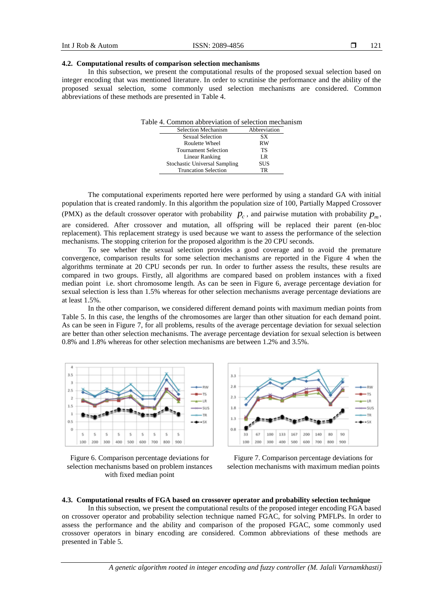### **4.2. Computational results of comparison selection mechanisms**

In this subsection, we present the computational results of the proposed sexual selection based on integer encoding that was mentioned literature. In order to scrutinise the performance and the ability of the proposed sexual selection, some commonly used selection mechanisms are considered. Common abbreviations of these methods are presented in Table 4.

| Table 4. Common abbreviation of selection mechanism |              |
|-----------------------------------------------------|--------------|
| <b>Selection Mechanism</b>                          | Abbreviation |
| <b>Sexual Selection</b>                             | SХ           |
| Roulette Wheel                                      | <b>RW</b>    |
| <b>Tournament Selection</b>                         | <b>TS</b>    |
| Linear Ranking                                      | LR           |
| <b>Stochastic Universal Sampling</b>                | <b>SUS</b>   |
| <b>Truncation Selection</b>                         | TR           |
|                                                     |              |

The computational experiments reported here were performed by using a standard GA with initial population that is created randomly. In this algorithm the population size of 100, Partially Mapped Crossover (PMX) as the default crossover operator with probability  $p_c$ , and pairwise mutation with probability  $p_m$ , are considered. After crossover and mutation, all offspring will be replaced their parent (en-bloc replacement). This replacement strategy is used because we want to assess the performance of the selection mechanisms. The stopping criterion for the proposed algorithm is the 20 CPU seconds.

To see whether the sexual selection provides a good coverage and to avoid the premature convergence, comparison results for some selection mechanisms are reported in the Figure 4 when the algorithms terminate at 20 CPU seconds per run. In order to further assess the results, these results are compared in two groups. Firstly, all algorithms are compared based on problem instances with a fixed median point i.e. short chromosome length. As can be seen in Figure 6, average percentage deviation for sexual selection is less than 1.5% whereas for other selection mechanisms average percentage deviations are at least 1.5%.

In the other comparison, we considered different demand points with maximum median points from Table 5. In this case, the lengths of the chromosomes are larger than other situation for each demand point. As can be seen in Figure 7, for all problems, results of the average percentage deviation for sexual selection are better than other selection mechanisms. The average percentage deviation for sexual selection is between 0.8% and 1.8% whereas for other selection mechanisms are between 1.2% and 3.5%.









# **4.3. Computational results of FGA based on crossover operator and probability selection technique**

In this subsection, we present the computational results of the proposed integer encoding FGA based on crossover operator and probability selection technique named FGAC, for solving PMFLPs. In order to assess the performance and the ability and comparison of the proposed FGAC, some commonly used crossover operators in binary encoding are considered. Common abbreviations of these methods are presented in Table 5.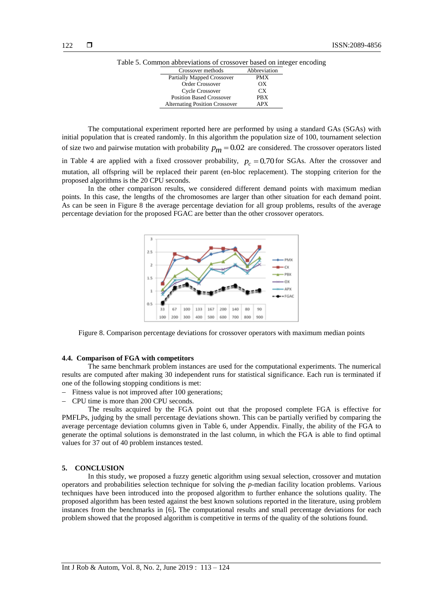|--|

| Crossover methods                     | Abbreviation |
|---------------------------------------|--------------|
| <b>Partially Mapped Crossover</b>     | <b>PMX</b>   |
| Order Crossover                       | OХ           |
| Cycle Crossover                       | CX.          |
| <b>Position Based Crossover</b>       | <b>PRX</b>   |
| <b>Alternating Position Crossover</b> | APX          |

The computational experiment reported here are performed by using a standard GAs (SGAs) with initial population that is created randomly. In this algorithm the population size of 100, tournament selection of size two and pairwise mutation with probability  $p_m = 0.02$  are considered. The crossover operators listed in Table 4 are applied with a fixed crossover probability,  $p_c = 0.70$  for SGAs. After the crossover and mutation, all offspring will be replaced their parent (en-bloc replacement). The stopping criterion for the proposed algorithms is the 20 CPU seconds.

In the other comparison results, we considered different demand points with maximum median points. In this case, the lengths of the chromosomes are larger than other situation for each demand point. As can be seen in Figure 8 the average percentage deviation for all group problems, results of the average percentage deviation for the proposed FGAC are better than the other crossover operators.



Figure 8. Comparison percentage deviations for crossover operators with maximum median points

#### **4.4. Comparison of FGA with competitors**

The same benchmark problem instances are used for the computational experiments. The numerical results are computed after making 30 independent runs for statistical significance. Each run is terminated if one of the following stopping conditions is met:

- Fitness value is not improved after 100 generations;
- CPU time is more than 200 CPU seconds.

The results acquired by the FGA point out that the proposed complete FGA is effective for PMFLPs, judging by the small percentage deviations shown. This can be partially verified by comparing the average percentage deviation columns given in Table 6, under Appendix. Finally, the ability of the FGA to generate the optimal solutions is demonstrated in the last column, in which the FGA is able to find optimal values for 37 out of 40 problem instances tested.

## **5. CONCLUSION**

In this study, we proposed a fuzzy genetic algorithm using sexual selection, crossover and mutation operators and probabilities selection technique for solving the *p*-median facility location problems. Various techniques have been introduced into the proposed algorithm to further enhance the solutions quality. The proposed algorithm has been tested against the best known solutions reported in the literature, using problem instances from the benchmarks in [6]**.** The computational results and small percentage deviations for each problem showed that the proposed algorithm is competitive in terms of the quality of the solutions found.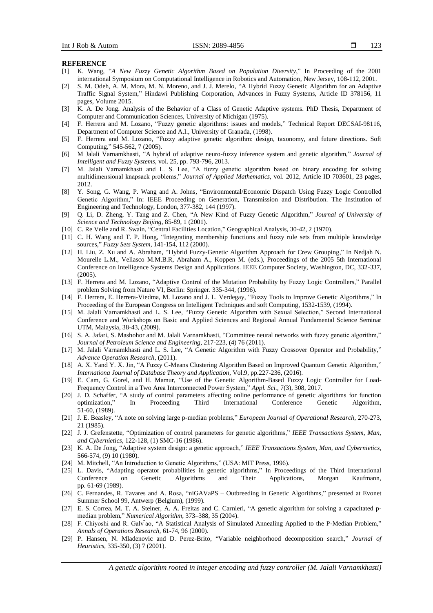#### **REFERENCE**

- [1] K. Wang, "*A New Fuzzy Genetic Algorithm Based on Population Diversity*," In Proceeding of the 2001 international Symposium on Computational Intelligence in Robotics and Automation, New Jersey, 108-112, 2001.
- [2] S. M. Odeh, A. M. Mora, M. N. Moreno, and J. J. Merelo, "A Hybrid Fuzzy Genetic Algorithm for an Adaptive Traffic Signal System," Hindawi Publishing Corporation, Advances in Fuzzy Systems, Article ID 378156, 11 pages, Volume 2015.
- [3] K. A. De Jong. Analysis of the Behavior of a Class of Genetic Adaptive systems. PhD Thesis, Department of Computer and Communication Sciences, University of Michigan (1975).
- [4] F. Herrera and M. Lozano, "Fuzzy genetic algorithms: issues and models," Technical Report DECSAI-98116, Department of Computer Science and A.I., University of Granada, (1998).
- [5] F. Herrera and M. Lozano, "Fuzzy adaptive genetic algorithm: design, taxonomy, and future directions. Soft Computing," 545-562, 7 (2005).
- [6] M Jalali Varnamkhasti, "A hybrid of adaptive neuro-fuzzy inference system and genetic algorithm," *Journal of Intelligent and Fuzzy Systems*, vol. 25, pp. 793-796, 2013.
- [7] M. Jalali Varnamkhasti and L. S. Lee, "A fuzzy genetic algorithm based on binary encoding for solving multidimensional knapsack problems," *Journal of Applied Mathematics*, vol. 2012, Article ID 703601, 23 pages, 2012.
- [8] Y. Song, G. Wang, P. Wang and A. Johns, "Environmental/Economic Dispatch Using Fuzzy Logic Controlled Genetic Algorithm," In: IEEE Proceeding on Generation, Transmission and Distribution. The Institution of Engineering and Technology, London, 377-382, 144 (1997).
- [9] Q. Li, D. Zheng, Y. Tang and Z. Chen, "A New Kind of Fuzzy Genetic Algorithm," *Journal of University of Science and Technology Beijing*, 85-89, 1 (2001).
- [10] C. Re Velle and R. Swain, "Central Facilities Location," Geographical Analysis, 30-42, 2 (1970).
- [11] C. H. Wang and T. P. Hong, "Integrating membership functions and fuzzy rule sets from multiple knowledge sources," *Fuzzy Sets System*, 141-154, 112 (2000).
- [12] H. Liu, Z. Xu and A. Abraham, "Hybrid Fuzzy-Genetic Algorithm Approach for Crew Grouping," In Nedjah N. Mourelle L.M., Vellasco M.M.B.R, Abraham A., Koppen M. (eds.), Proceedings of the 2005 5th International Conference on Intelligence Systems Design and Applications. IEEE Computer Society, Washington, DC, 332-337, (2005).
- [13] F. Herrera and M. Lozano, "Adaptive Control of the Mutation Probability by Fuzzy Logic Controllers," Parallel problem Solving from Nature VI, Berlin: Springer. 335-344, (1996).
- [14] F. Herrera, E. Herrera-Viedma, M. Lozano and J. L. Verdegay, "Fuzzy Tools to Improve Genetic Algorithms," In Proceeding of the European Congress on Intelligent Techniques and soft Computing, 1532-1539, (1994).
- [15] M. Jalali Varnamkhasti and L. S. Lee, "Fuzzy Genetic Algorithm with Sexual Selection," Second International Conference and Workshops on Basic and Applied Sciences and Regional Annual Fundamental Science Seminar UTM, Malaysia, 38-43, (2009).
- [16] S. A. Jafari, S. Mashohor and M. Jalali Varnamkhasti, "Committee neural networks with fuzzy genetic algorithm," *Journal of Petroleum Science and Engineering*, 217-223, (4) 76 (2011).
- [17] M. Jalali Varnamkhasti and L. S. Lee, "A Genetic Algorithm with Fuzzy Crossover Operator and Probability," *Advance Operation Research,* (2011).
- [18] A. X. Yand Y. X. Jin, "A Fuzzy C-Means Clustering Algorithm Based on Improved Quantum Genetic Algorithm," *Internationa Journal of Database Theory and Application*, Vol.9, pp.227-236, (2016).
- [19] E. Cam, G. Gorel, and H. Mamur, "Use of the Genetic Algorithm-Based Fuzzy Logic Controller for Load-Frequency Control in a Two Area Interconnected Power System," *Appl. Sci.*, 7(3), 308, 2017.
- [20] J. D. Schaffer, "A study of control parameters affecting online performance of genetic algorithms for function optimization," In Proceeding Third International Conference Genetic Algorithm, 51-60, (1989).
- [21] J. E. Beasley, "A note on solving large p-median problems," *European Journal of Operational Research,* 270-273, 21 (1985).
- [22] J. J. Grefenstette, "Optimization of control parameters for genetic algorithms," *IEEE Transactions System, Man, and Cybernietics,* 122-128, (1) SMC-16 (1986).
- [23] K. A. De Jong, "Adaptive system design: a genetic approach," *IEEE Transactions System, Man, and Cybernietics,* 566-574, (9) 10 (1980).
- [24] M. Mitchell, "An Introduction to Genetic Algorithms," (USA: MIT Press, 1996).
- [25] L. Davis, "Adapting operator probabilities in genetic algorithms," In Proceedings of the Third International Conference on Genetic Algorithms and Their Applications, Morgan Kaufmann, pp. 61-69 (1989).
- [26] C. Fernandes, R. Tavares and A. Rosa, "niGAVaPS Outbreeding in Genetic Algorithms," presented at Evonet Summer School 99, Antwerp (Belgium), (1999).
- [27] E. S. Correa, M. T. A. Steiner, A. A. Freitas and C. Carnieri, "A genetic algorithm for solving a capacitated pmedian problem," *Numerical Algorithm,* 373–388, 35 (2004).
- [28] F. Chiyoshi and R. Galv ao, "A Statistical Analysis of Simulated Annealing Applied to the P-Median Problem," *Annals of Operations Research,* 61-74, 96 (2000).
- [29] P. Hansen, N. Mladenovic and D. Perez-Brito, "Variable neighborhood decomposition search," *Journal of Heuristics*, 335-350, (3) 7 (2001).